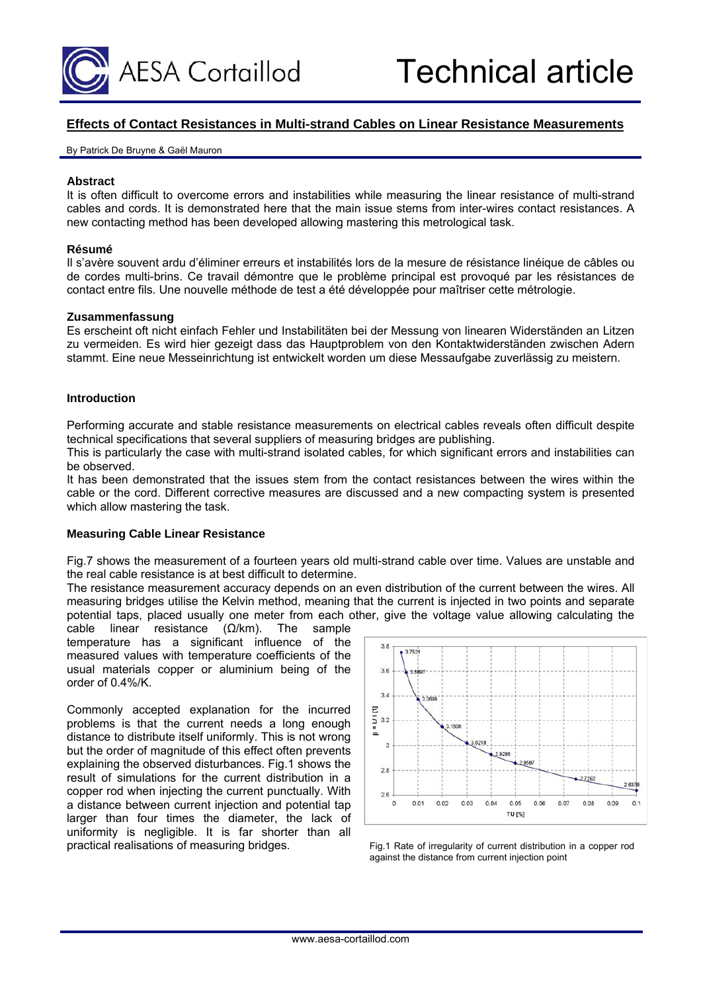

# **Effects of Contact Resistances in Multi-strand Cables on Linear Resistance Measurements**

#### By Patrick De Bruyne & Gaël Mauron

## **Abstract**

It is often difficult to overcome errors and instabilities while measuring the linear resistance of multi-strand cables and cords. It is demonstrated here that the main issue stems from inter-wires contact resistances. A new contacting method has been developed allowing mastering this metrological task.

#### **Résumé**

Il s'avère souvent ardu d'éliminer erreurs et instabilités lors de la mesure de résistance linéique de câbles ou de cordes multi-brins. Ce travail démontre que le problème principal est provoqué par les résistances de contact entre fils. Une nouvelle méthode de test a été développée pour maîtriser cette métrologie.

### **Zusammenfassung**

Es erscheint oft nicht einfach Fehler und Instabilitäten bei der Messung von linearen Widerständen an Litzen zu vermeiden. Es wird hier gezeigt dass das Hauptproblem von den Kontaktwiderständen zwischen Adern stammt. Eine neue Messeinrichtung ist entwickelt worden um diese Messaufgabe zuverlässig zu meistern.

### **Introduction**

Performing accurate and stable resistance measurements on electrical cables reveals often difficult despite technical specifications that several suppliers of measuring bridges are publishing.

This is particularly the case with multi-strand isolated cables, for which significant errors and instabilities can be observed.

It has been demonstrated that the issues stem from the contact resistances between the wires within the cable or the cord. Different corrective measures are discussed and a new compacting system is presented which allow mastering the task.

# **Measuring Cable Linear Resistance**

Fig.7 shows the measurement of a fourteen years old multi-strand cable over time. Values are unstable and the real cable resistance is at best difficult to determine.

The resistance measurement accuracy depends on an even distribution of the current between the wires. All measuring bridges utilise the Kelvin method, meaning that the current is injected in two points and separate potential taps, placed usually one meter from each other, give the voltage value allowing calculating the

cable linear resistance (Ω/km). The sample temperature has a significant influence of the measured values with temperature coefficients of the usual materials copper or aluminium being of the order of 0.4%/K.

Commonly accepted explanation for the incurred problems is that the current needs a long enough distance to distribute itself uniformly. This is not wrong but the order of magnitude of this effect often prevents explaining the observed disturbances. Fig.1 shows the result of simulations for the current distribution in a copper rod when injecting the current punctually. With a distance between current injection and potential tap larger than four times the diameter, the lack of uniformity is negligible. It is far shorter than all practical realisations of measuring bridges. Fig.1 Rate of irregularity of current distribution in a copper rod



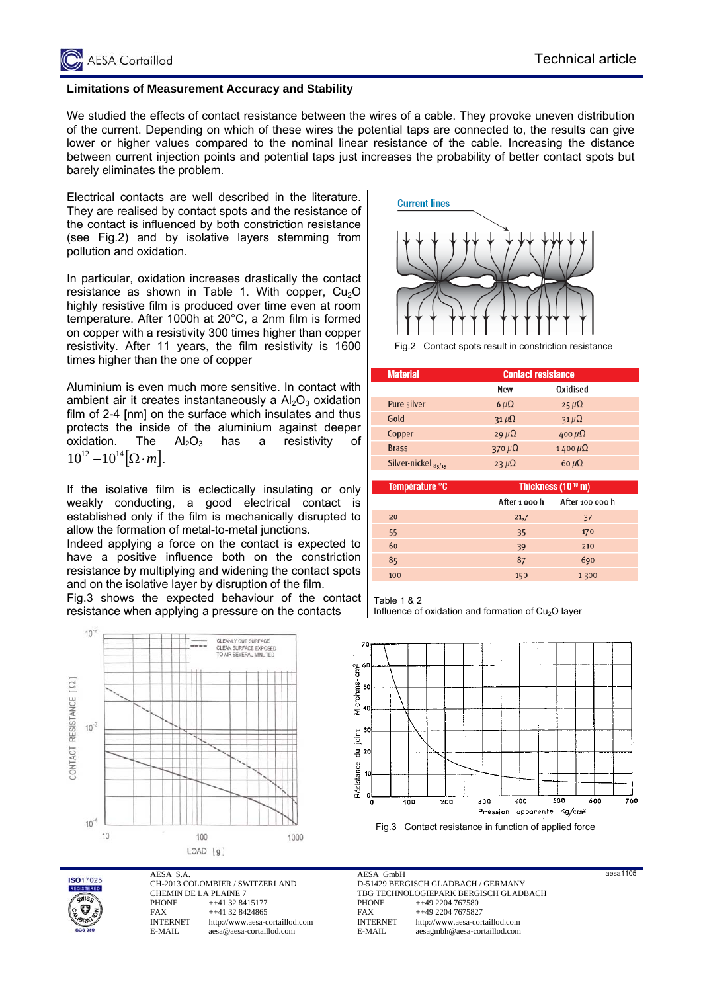

# **Limitations of Measurement Accuracy and Stability**

We studied the effects of contact resistance between the wires of a cable. They provoke uneven distribution of the current. Depending on which of these wires the potential taps are connected to, the results can give lower or higher values compared to the nominal linear resistance of the cable. Increasing the distance between current injection points and potential taps just increases the probability of better contact spots but barely eliminates the problem.

Electrical contacts are well described in the literature. They are realised by contact spots and the resistance of the contact is influenced by both constriction resistance (see Fig.2) and by isolative layers stemming from pollution and oxidation.

In particular, oxidation increases drastically the contact resistance as shown in Table 1. With copper,  $Cu<sub>2</sub>O$ highly resistive film is produced over time even at room temperature. After 1000h at 20°C, a 2nm film is formed on copper with a resistivity 300 times higher than copper resistivity. After 11 years, the film resistivity is 1600 times higher than the one of copper

Aluminium is even much more sensitive. In contact with ambient air it creates instantaneously a  $Al_2O_3$  oxidation film of 2-4 [nm] on the surface which insulates and thus protects the inside of the aluminium against deeper oxidation. The  $Al_2O_3$  has a resistivity of  $10^{12} - 10^{14} [\Omega \cdot m]$ .

If the isolative film is eclectically insulating or only weakly conducting, a good electrical contact is established only if the film is mechanically disrupted to allow the formation of metal-to-metal junctions.

Indeed applying a force on the contact is expected to have a positive influence both on the constriction resistance by multiplying and widening the contact spots and on the isolative layer by disruption of the film.

Fig.3 shows the expected behaviour of the contact resistance when applying a pressure on the contacts





AESA S.A. CH-2013 COLOMBIER / SWITZERLAND CHEMIN DE LA PLAINE 7<br>PHONE ++41 32 84 PHONE ++41 32 8415177<br>FAX ++41 32 8424865 FAX ++41 32 8424865<br>INTERNET http://www.aesa-c http://www.aesa-cortaillod.com E-MAIL aesa@aesa-cortaillod.com



Contact spots result in constriction resistance

| <b>Material</b>     | <b>Contact resistance</b> |                  |  |
|---------------------|---------------------------|------------------|--|
|                     | New                       | Oxidised         |  |
| Pure silver         | $6 \mu\Omega$             | $25 \mu\Omega$   |  |
| Gold                | $31 \mu\Omega$            | $31 \mu\Omega$   |  |
| Copper              | $29 \mu\Omega$            | $400 \mu\Omega$  |  |
| <b>Brass</b>        | 370 $\mu\Omega$           | $1400 \mu\Omega$ |  |
| Silver-nickel 85/15 | 23 $\mu\Omega$            | 60 $\mu\Omega$   |  |

| Température °C | Thickness (10 <sup>-10</sup> m) |                 |  |
|----------------|---------------------------------|-----------------|--|
|                | After 1 000 h                   | After 100 000 h |  |
| 20             | 21,7                            | 37              |  |
| 55             | 35                              | 170             |  |
| 60             | 39                              | 210             |  |
| 85             | 87                              | 690             |  |
| 100            | 150                             | 1 300           |  |

Table 1 & 2

Influence of oxidation and formation of  $Cu<sub>2</sub>O$  layer



Fig.3 Contact resistance in function of applied force

aesa1105

AESA GmbH D-51429 BERGISCH GLADBACH / GERMANY TBG TECHNOLOGIEPARK BERGISCH GLADBACH<br>PHONE ++49 2204 767580 PHONE ++49 2204 767580<br>FAX ++49 2204 767582 FAX ++49 2204 7675827<br>INTERNET http://www.aesa-cor http://www.aesa-cortaillod.com E-MAIL aesagmbh@aesa-cortaillod.com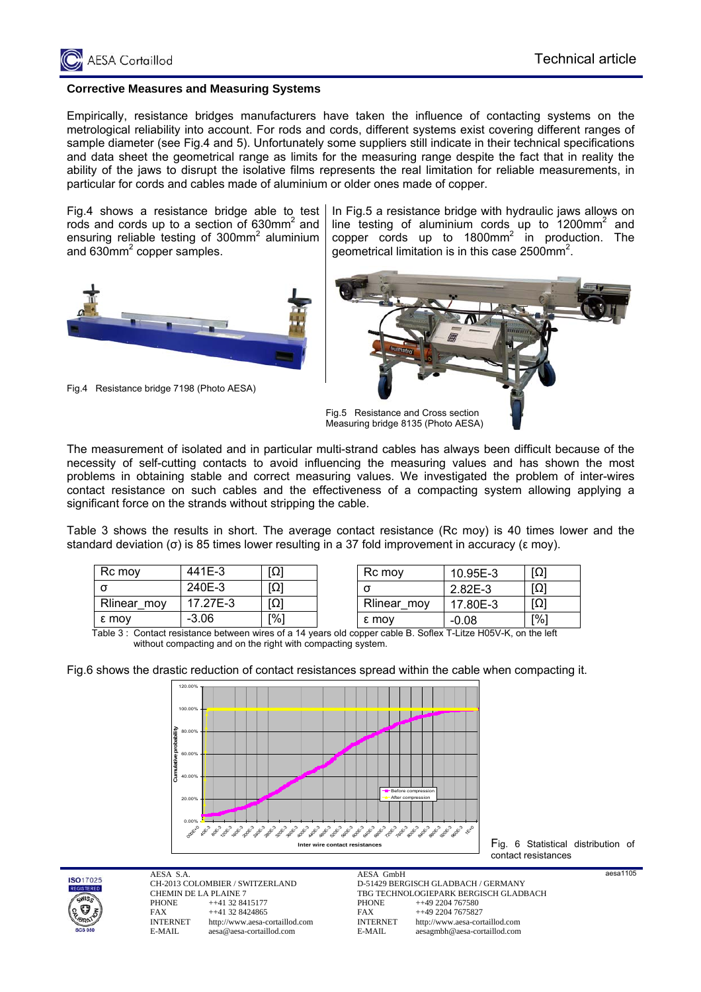

## **Corrective Measures and Measuring Systems**

Empirically, resistance bridges manufacturers have taken the influence of contacting systems on the metrological reliability into account. For rods and cords, different systems exist covering different ranges of sample diameter (see Fig.4 and 5). Unfortunately some suppliers still indicate in their technical specifications and data sheet the geometrical range as limits for the measuring range despite the fact that in reality the ability of the jaws to disrupt the isolative films represents the real limitation for reliable measurements, in particular for cords and cables made of aluminium or older ones made of copper.

Fig.4 shows a resistance bridge able to test rods and cords up to a section of 630mm<sup>2</sup> and ensuring reliable testing of  $300$ mm<sup>2</sup> aluminium and 630 $mm<sup>2</sup>$  copper samples.



Fig.4 Resistance bridge 7198 (Photo AESA)

In Fig.5 a resistance bridge with hydraulic jaws allows on line testing of aluminium cords up to  $1200$ mm<sup>2</sup> and copper cords up to  $1800$ mm<sup>2</sup> in production. The geometrical limitation is in this case 2500mm<sup>2</sup>.



The measurement of isolated and in particular multi-strand cables has always been difficult because of the necessity of self-cutting contacts to avoid influencing the measuring values and has shown the most problems in obtaining stable and correct measuring values. We investigated the problem of inter-wires contact resistance on such cables and the effectiveness of a compacting system allowing applying a significant force on the strands without stripping the cable.

Table 3 shows the results in short. The average contact resistance (Rc moy) is 40 times lower and the standard deviation (σ) is 85 times lower resulting in a 37 fold improvement in accuracy (ε moy).

| Rc moy      | 441E-3   | ןΩ] |
|-------------|----------|-----|
|             | 240E-3   | ןΩן |
| Rlinear_moy | 17.27E-3 | [Ω] |
| ε mov       | $-3.06$  |     |

| Rc moy      | 10.95E-3  | וְחַ |
|-------------|-----------|------|
|             | $2.82E-3$ |      |
| Rlinear_moy | 17.80E-3  |      |
| ε moy       | $-0.08$   | r%1  |

| Table 3: Contact resistance between wires of a 14 years old copper cable B. Soflex T-Litze H05V-K, on the left |  |
|----------------------------------------------------------------------------------------------------------------|--|
| without compacting and on the right with compacting system.                                                    |  |

Fig.6 shows the drastic reduction of contact resistances spread within the cable when compacting it.



Fig. 6 Statistical distribution of contact resistances



AESA S.A. CH-2013 COLOMBIER / SWITZERLAND CHEMIN DE LA PLAINE 7<br>PHONE ++41 32 84 PHONE ++41 32 8415177<br>FAX ++41 32 8424865 FAX ++41 32 8424865<br>INTERNET http://www.aesa-c http://www.aesa-cortaillod.com E-MAIL aesa@aesa-cortaillod.com

AESA GmbH D-51429 BERGISCH GLADBACH / GERMANY TBG TECHNOLOGIEPARK BERGISCH GLADBACH<br>PHONE ++49 2204 767580 PHONE ++49 2204 767580<br>FAX ++49 2204 767582 FAX ++49 2204 7675827<br>INTERNET http://www.aesa-cor http://www.aesa-cortaillod.com E-MAIL aesagmbh@aesa-cortaillod.com

aesa1105